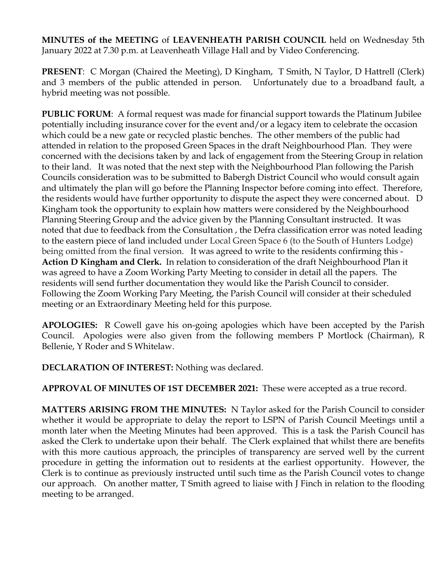**MINUTES of the MEETING** of **LEAVENHEATH PARISH COUNCIL** held on Wednesday 5th January 2022 at 7.30 p.m. at Leavenheath Village Hall and by Video Conferencing.

**PRESENT**: C Morgan (Chaired the Meeting), D Kingham, T Smith, N Taylor, D Hattrell (Clerk) and 3 members of the public attended in person. Unfortunately due to a broadband fault, a hybrid meeting was not possible.

**PUBLIC FORUM**: A formal request was made for financial support towards the Platinum Jubilee potentially including insurance cover for the event and/or a legacy item to celebrate the occasion which could be a new gate or recycled plastic benches. The other members of the public had attended in relation to the proposed Green Spaces in the draft Neighbourhood Plan. They were concerned with the decisions taken by and lack of engagement from the Steering Group in relation to their land. It was noted that the next step with the Neighbourhood Plan following the Parish Councils consideration was to be submitted to Babergh District Council who would consult again and ultimately the plan will go before the Planning Inspector before coming into effect. Therefore, the residents would have further opportunity to dispute the aspect they were concerned about. D Kingham took the opportunity to explain how matters were considered by the Neighbourhood Planning Steering Group and the advice given by the Planning Consultant instructed. It was noted that due to feedback from the Consultation , the Defra classification error was noted leading to the eastern piece of land included under Local Green Space 6 (to the South of Hunters Lodge) being omitted from the final version. It was agreed to write to the residents confirming this - **Action D Kingham and Clerk.** In relation to consideration of the draft Neighbourhood Plan it was agreed to have a Zoom Working Party Meeting to consider in detail all the papers. The residents will send further documentation they would like the Parish Council to consider. Following the Zoom Working Pary Meeting, the Parish Council will consider at their scheduled meeting or an Extraordinary Meeting held for this purpose.

**APOLOGIES:** R Cowell gave his on-going apologies which have been accepted by the Parish Council. Apologies were also given from the following members P Mortlock (Chairman), R Bellenie, Y Roder and S Whitelaw.

**DECLARATION OF INTEREST:** Nothing was declared.

**APPROVAL OF MINUTES OF 1ST DECEMBER 2021:** These were accepted as a true record.

**MATTERS ARISING FROM THE MINUTES:** N Taylor asked for the Parish Council to consider whether it would be appropriate to delay the report to LSPN of Parish Council Meetings until a month later when the Meeting Minutes had been approved. This is a task the Parish Council has asked the Clerk to undertake upon their behalf. The Clerk explained that whilst there are benefits with this more cautious approach, the principles of transparency are served well by the current procedure in getting the information out to residents at the earliest opportunity. However, the Clerk is to continue as previously instructed until such time as the Parish Council votes to change our approach.On another matter, T Smith agreed to liaise with J Finch in relation to the flooding meeting to be arranged.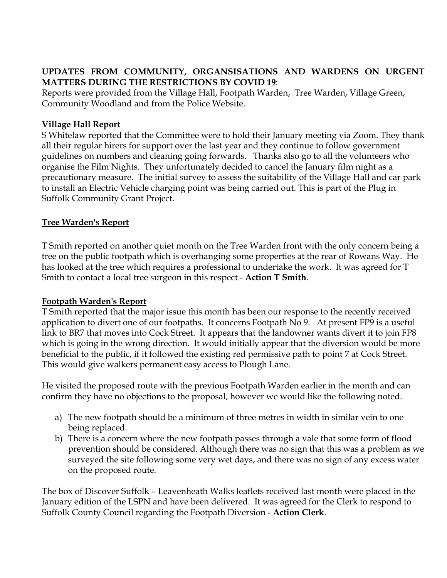## **UPDATES FROM COMMUNITY, ORGANSISATIONS AND WARDENS ON URGENT MATTERS DURING THE RESTRICTIONS BY COVID 19**:

Reports were provided from the Village Hall, Footpath Warden, Tree Warden, Village Green, Community Woodland and from the Police Website.

## **Village Hall Report**

S Whitelaw reported that the Committee were to hold their January meeting via Zoom. They thank all their regular hirers for support over the last year and they continue to follow government guidelines on numbers and cleaning going forwards. Thanks also go to all the volunteers who organise the Film Nights. They unfortunately decided to cancel the January film night as a precautionary measure. The initial survey to assess the suitability of the Village Hall and car park to install an Electric Vehicle charging point was being carried out. This is part of the Plug in Suffolk Community Grant Project.

#### **Tree Warden's Report**

T Smith reported on another quiet month on the Tree Warden front with the only concern being a tree on the public footpath which is overhanging some properties at the rear of Rowans Way. He has looked at the tree which requires a professional to undertake the work. It was agreed for T Smith to contact a local tree surgeon in this respect - **Action T Smith**.

#### **Footpath Warden's Report**

T Smith reported that the major issue this month has been our response to the recently received application to divert one of our footpaths. It concerns Footpath No 9. At present FP9 is a useful link to BR7 that moves into Cock Street. It appears that the landowner wants divert it to join FP8 which is going in the wrong direction. It would initially appear that the diversion would be more beneficial to the public, if it followed the existing red permissive path to point 7 at Cock Street. This would give walkers permanent easy access to Plough Lane.

He visited the proposed route with the previous Footpath Warden earlier in the month and can confirm they have no objections to the proposal, however we would like the following noted.

- a) The new footpath should be a minimum of three metres in width in similar vein to one being replaced.
- b) There is a concern where the new footpath passes through a vale that some form of flood prevention should be considered. Although there was no sign that this was a problem as we surveyed the site following some very wet days, and there was no sign of any excess water on the proposed route.

The box of Discover Suffolk – Leavenheath Walks leaflets received last month were placed in the January edition of the LSPN and have been delivered. It was agreed for the Clerk to respond to Suffolk County Council regarding the Footpath Diversion - **Action Clerk**.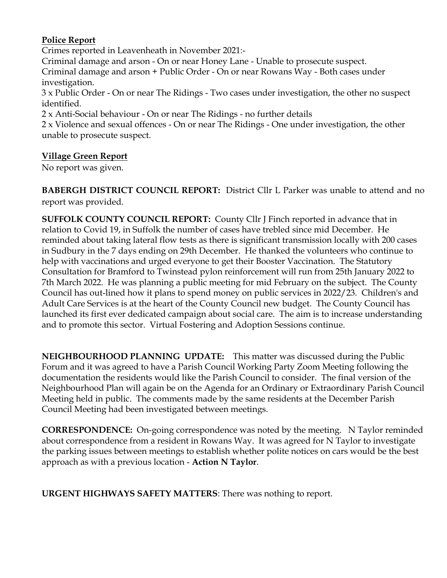## **Police Report**

Crimes reported in Leavenheath in November 2021:- Criminal damage and arson - On or near Honey Lane - Unable to prosecute suspect. Criminal damage and arson + Public Order - On or near Rowans Way - Both cases under investigation. 3 x Public Order - On or near The Ridings - Two cases under investigation, the other no suspect identified. 2 x Anti-Social behaviour - On or near The Ridings - no further details

2 x Violence and sexual offences - On or near The Ridings - One under investigation, the other unable to prosecute suspect.

# **Village Green Report**

No report was given.

**BABERGH DISTRICT COUNCIL REPORT:** District Cllr L Parker was unable to attend and no report was provided.

**SUFFOLK COUNTY COUNCIL REPORT:** County Cllr J Finch reported in advance that in relation to Covid 19, in Suffolk the number of cases have trebled since mid December. He reminded about taking lateral flow tests as there is significant transmission locally with 200 cases in Sudbury in the 7 days ending on 29th December. He thanked the volunteers who continue to help with vaccinations and urged everyone to get their Booster Vaccination. The Statutory Consultation for Bramford to Twinstead pylon reinforcement will run from 25th January 2022 to 7th March 2022. He was planning a public meeting for mid February on the subject. The County Council has out-lined how it plans to spend money on public services in 2022/23. Children's and Adult Care Services is at the heart of the County Council new budget. The County Council has launched its first ever dedicated campaign about social care. The aim is to increase understanding and to promote this sector. Virtual Fostering and Adoption Sessions continue.

**NEIGHBOURHOOD PLANNING UPDATE:** This matter was discussed during the Public Forum and it was agreed to have a Parish Council Working Party Zoom Meeting following the documentation the residents would like the Parish Council to consider. The final version of the Neighbourhood Plan will again be on the Agenda for an Ordinary or Extraordinary Parish Council Meeting held in public. The comments made by the same residents at the December Parish Council Meeting had been investigated between meetings.

**CORRESPONDENCE:** On-going correspondence was noted by the meeting. N Taylor reminded about correspondence from a resident in Rowans Way. It was agreed for N Taylor to investigate the parking issues between meetings to establish whether polite notices on cars would be the best approach as with a previous location - **Action N Taylor**.

**URGENT HIGHWAYS SAFETY MATTERS**: There was nothing to report.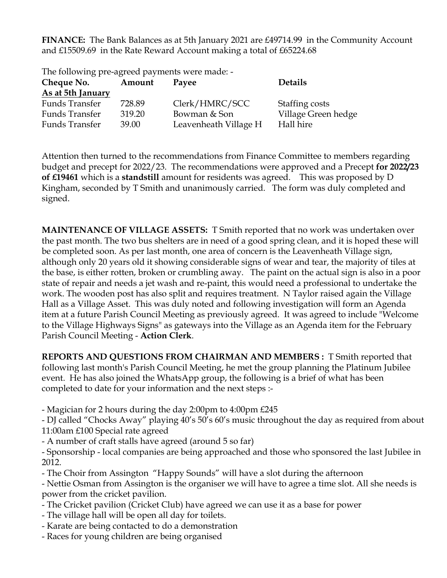**FINANCE:** The Bank Balances as at 5th January 2021 are £49714.99 in the Community Account and £15509.69 in the Rate Reward Account making a total of £65224.68

The following pre-agreed payments were made: -

| Amount | Payee                 | <b>Details</b>      |
|--------|-----------------------|---------------------|
|        |                       |                     |
| 728.89 | Clerk/HMRC/SCC        | Staffing costs      |
| 319.20 | Bowman & Son          | Village Green hedge |
| 39.00  | Leavenheath Village H | Hall hire           |
|        |                       |                     |

Attention then turned to the recommendations from Finance Committee to members regarding budget and precept for 2022/23. The recommendations were approved and a Precept **for 2022/23 of £19461** which is a **standstill** amount for residents was agreed. This was proposed by D Kingham, seconded by T Smith and unanimously carried. The form was duly completed and signed.

**MAINTENANCE OF VILLAGE ASSETS:** T Smith reported that no work was undertaken over the past month. The two bus shelters are in need of a good spring clean, and it is hoped these will be completed soon. As per last month, one area of concern is the Leavenheath Village sign, although only 20 years old it showing considerable signs of wear and tear, the majority of tiles at the base, is either rotten, broken or crumbling away. The paint on the actual sign is also in a poor state of repair and needs a jet wash and re-paint, this would need a professional to undertake the work. The wooden post has also split and requires treatment. N Taylor raised again the Village Hall as a Village Asset. This was duly noted and following investigation will form an Agenda item at a future Parish Council Meeting as previously agreed. It was agreed to include "Welcome to the Village Highways Signs" as gateways into the Village as an Agenda item for the February Parish Council Meeting - **Action Clerk**.

**REPORTS AND QUESTIONS FROM CHAIRMAN AND MEMBERS :** T Smith reported that following last month's Parish Council Meeting, he met the group planning the Platinum Jubilee event. He has also joined the WhatsApp group, the following is a brief of what has been completed to date for your information and the next steps :-

- Magician for 2 hours during the day 2:00pm to 4:00pm £245

- DJ called "Chocks Away" playing 40's 50's 60's music throughout the day as required from about 11:00am £100 Special rate agreed

- A number of craft stalls have agreed (around 5 so far)

- Sponsorship - local companies are being approached and those who sponsored the last Jubilee in 2012.

- The Choir from Assington "Happy Sounds" will have a slot during the afternoon

- Nettie Osman from Assington is the organiser we will have to agree a time slot. All she needs is power from the cricket pavilion.

- The Cricket pavilion (Cricket Club) have agreed we can use it as a base for power
- The village hall will be open all day for toilets.
- Karate are being contacted to do a demonstration
- Races for young children are being organised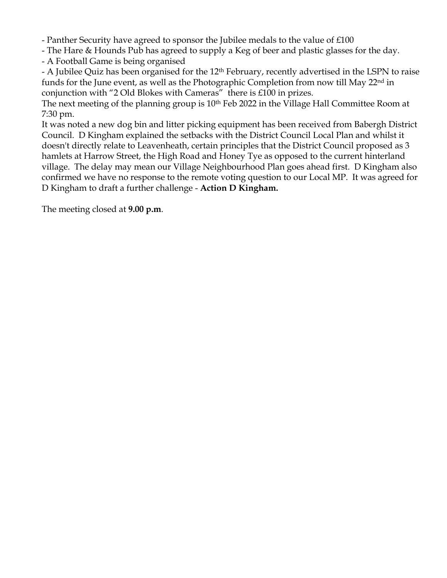- Panther Security have agreed to sponsor the Jubilee medals to the value of £100

- The Hare & Hounds Pub has agreed to supply a Keg of beer and plastic glasses for the day.
- A Football Game is being organised

- A Jubilee Quiz has been organised for the 12<sup>th</sup> February, recently advertised in the LSPN to raise funds for the June event, as well as the Photographic Completion from now till May 22nd in conjunction with "2 Old Blokes with Cameras" there is £100 in prizes.

The next meeting of the planning group is 10<sup>th</sup> Feb 2022 in the Village Hall Committee Room at 7:30 pm.

It was noted a new dog bin and litter picking equipment has been received from Babergh District Council. D Kingham explained the setbacks with the District Council Local Plan and whilst it doesn't directly relate to Leavenheath, certain principles that the District Council proposed as 3 hamlets at Harrow Street, the High Road and Honey Tye as opposed to the current hinterland village. The delay may mean our Village Neighbourhood Plan goes ahead first. D Kingham also confirmed we have no response to the remote voting question to our Local MP. It was agreed for D Kingham to draft a further challenge - **Action D Kingham.**

The meeting closed at **9.00 p.m**.